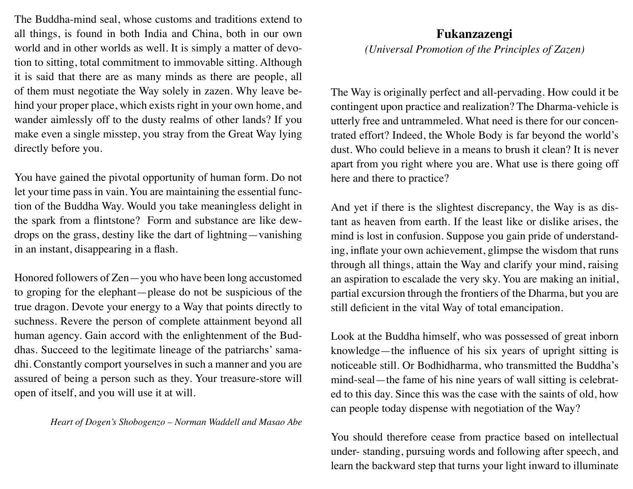The Buddha-mind seal, whose customs and traditions extend to all things, is found in both India and China, both in our own world and in other worlds as well. It is simply a matter of devotion to sitting, total commitment to immovable sitting. Although it is said that there are as many minds as there are people, all of them must negotiate the Way solely in zazen. Why leave behind your proper place, which exists right in your own home, and wander aimlessly off to the dusty realms of other lands? If you make even a single misstep, you stray from the Great Way lying directly before you.

You have gained the pivotal opportunity of human form. Do not let your time pass in vain. You are maintaining the essential function of the Buddha Way. Would you take meaningless delight in the spark from a flintstone? Form and substance are like dewdrops on the grass, destiny like the dart of lightning—vanishing in an instant, disappearing in a flash.

Honored followers of Zen—you who have been long accustomed to groping for the elephant—please do not be suspicious of the true dragon. Devote your energy to a Way that points directly to suchness. Revere the person of complete attainment beyond all human agency. Gain accord with the enlightenment of the Buddhas. Succeed to the legitimate lineage of the patriarchs' samadhi. Constantly comport yourselves in such a manner and you are assured of being a person such as they. Your treasure-store will open of itself, and you will use it at will.

*Heart of Dogen's Shobogenzo – Norman Waddell and Masao Abe*

## **Fukanzazengi**

*(Universal Promotion of the Principles of Zazen)*

The Way is originally perfect and all-pervading. How could it be contingent upon practice and realization? The Dharma-vehicle is utterly free and untrammeled. What need is there for our concentrated effort? Indeed, the Whole Body is far beyond the world's dust. Who could believe in a means to brush it clean? It is never apart from you right where you are. What use is there going off here and there to practice?

And yet if there is the slightest discrepancy, the Way is as distant as heaven from earth. If the least like or dislike arises, the mind is lost in confusion. Suppose you gain pride of understanding, inflate your own achievement, glimpse the wisdom that runs through all things, attain the Way and clarify your mind, raising an aspiration to escalade the very sky. You are making an initial, partial excursion through the frontiers of the Dharma, but you are still deficient in the vital Way of total emancipation.

Look at the Buddha himself, who was possessed of great inborn knowledge—the influence of his six years of upright sitting is noticeable still. Or Bodhidharma, who transmitted the Buddha's mind-seal—the fame of his nine years of wall sitting is celebrated to this day. Since this was the case with the saints of old, how can people today dispense with negotiation of the Way?

You should therefore cease from practice based on intellectual under- standing, pursuing words and following after speech, and learn the backward step that turns your light inward to illuminate